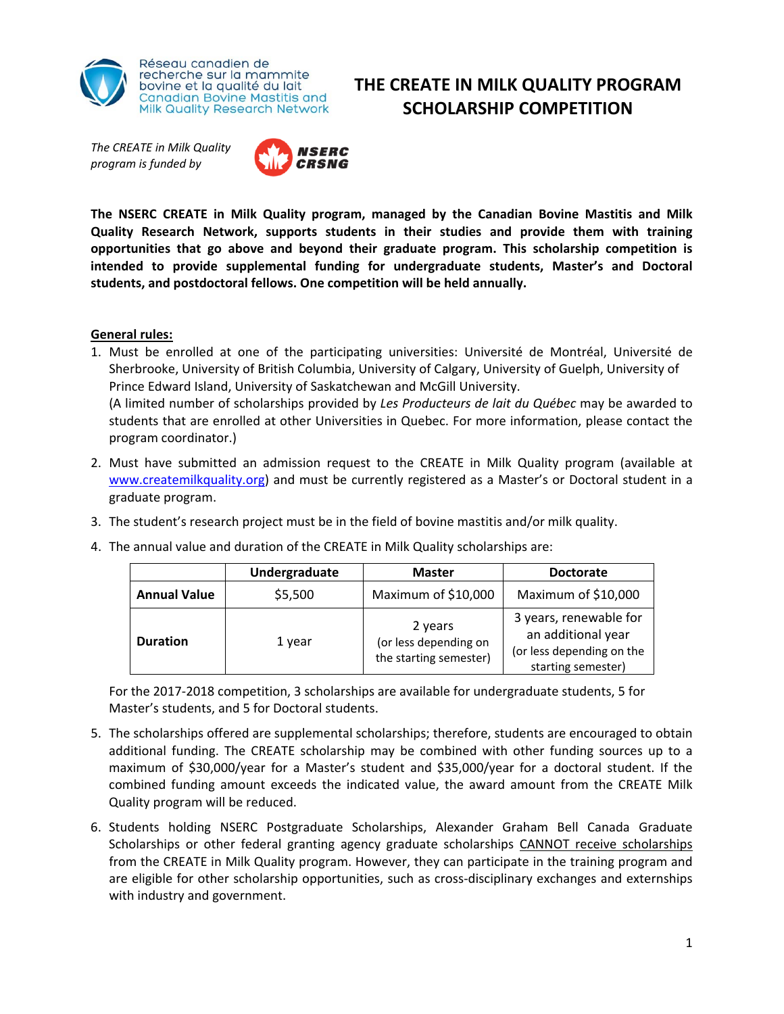

*The CREATE in Milk Quality program is funded by* 



**The NSERC CREATE in Milk Quality program, managed by the Canadian Bovine Mastitis and Milk Quality Research Network, supports students in their studies and provide them with training opportunities that go above and beyond their graduate program. This scholarship competition is intended to provide supplemental funding for undergraduate students, Master's and Doctoral students, and postdoctoral fellows. One competition will be held annually.**

**THE CREATE IN MILK QUALITY PROGRAM SCHOLARSHIP COMPETITION**

## **General rules:**

- 1. Must be enrolled at one of the participating universities: Université de Montréal, Université de Sherbrooke, University of British Columbia, University of Calgary, University of Guelph, University of Prince Edward Island, University of Saskatchewan and McGill University. (A limited number of scholarships provided by *Les Producteurs de lait du Québec* may be awarded to students that are enrolled at other Universities in Quebec. For more information, please contact the program coordinator.)
- 2. Must have submitted an admission request to the CREATE in Milk Quality program (available at www.createmilkquality.org) and must be currently registered as a Master's or Doctoral student in a graduate program.
- 3. The student's research project must be in the field of bovine mastitis and/or milk quality.

|                     | Undergraduate | <b>Master</b>                                              | <b>Doctorate</b>                                                                                |
|---------------------|---------------|------------------------------------------------------------|-------------------------------------------------------------------------------------------------|
| <b>Annual Value</b> | \$5,500       | Maximum of \$10,000                                        | Maximum of \$10,000                                                                             |
| <b>Duration</b>     | 1 year        | 2 years<br>(or less depending on<br>the starting semester) | 3 years, renewable for<br>an additional year<br>(or less depending on the<br>starting semester) |

4. The annual value and duration of the CREATE in Milk Quality scholarships are:

For the 2017‐2018 competition, 3 scholarships are available for undergraduate students, 5 for Master's students, and 5 for Doctoral students.

- 5. The scholarships offered are supplemental scholarships; therefore, students are encouraged to obtain additional funding. The CREATE scholarship may be combined with other funding sources up to a maximum of \$30,000/year for a Master's student and \$35,000/year for a doctoral student. If the combined funding amount exceeds the indicated value, the award amount from the CREATE Milk Quality program will be reduced.
- 6. Students holding NSERC Postgraduate Scholarships, Alexander Graham Bell Canada Graduate Scholarships or other federal granting agency graduate scholarships CANNOT receive scholarships from the CREATE in Milk Quality program. However, they can participate in the training program and are eligible for other scholarship opportunities, such as cross-disciplinary exchanges and externships with industry and government.